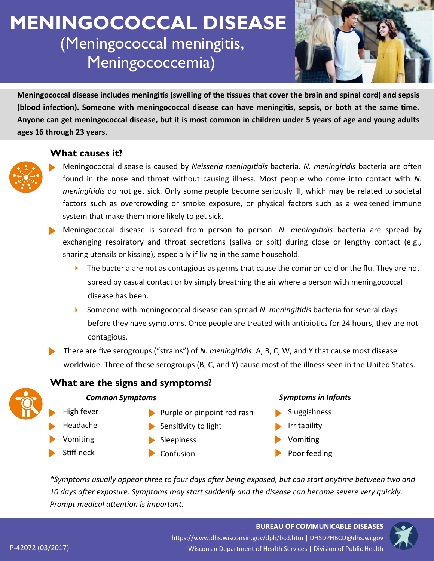# **MENINGOCOCCAL DISEASE** (Meningococcal meningitis, Meningococcemia)



**Meningococcal disease includes meningitis (swelling of the tissues that cover the brain and spinal cord) and sepsis (blood infection). Someone with meningococcal disease can have meningitis, sepsis, or both at the same time. Anyone can get meningococcal disease, but it is most common in children under 5 years of age and young adults ages 16 through 23 years.** 

# **What causes it?**



- Meningococcal disease is caused by *Neisseria meningitidis* bacteria. *N. meningitidis* bacteria are often found in the nose and throat without causing illness. Most people who come into contact with *N. meningitidis* do not get sick. Only some people become seriously ill, which may be related to societal factors such as overcrowding or smoke exposure, or physical factors such as a weakened immune system that make them more likely to get sick.
- Meningococcal disease is spread from person to person. *N. meningitidis* bacteria are spread by exchanging respiratory and throat secretions (saliva or spit) during close or lengthy contact (e.g., sharing utensils or kissing), especially if living in the same household.
	- $\blacktriangleright$  The bacteria are not as contagious as germs that cause the common cold or the flu. They are not spread by casual contact or by simply breathing the air where a person with meningococcal disease has been.
	- Someone with meningococcal disease can spread *N. meningitidis* bacteria for several days before they have symptoms. Once people are treated with antibiotics for 24 hours, they are not contagious.
- There are five serogroups ("strains") of *N. meningitidis*: A, B, C, W, and Y that cause most disease worldwide. Three of these serogroups (B, C, and Y) cause most of the illness seen in the United States.

# **What are the signs and symptoms?**

#### *Common Symptoms*

- $\blacktriangleright$  Purple or pinpoint red rash
- Headache

High fever

- Vomiting
- Stiff neck
- $\blacktriangleright$  Sleepiness

 $\blacktriangleright$  Sensitivity to light

 $\blacktriangleright$  Confusion

#### *Symptoms in Infants*

- Sluggishness
- Irritability
- Vomiting
- Poor feeding

*\*Symptoms usually appear three to four days after being exposed, but can start anytime between two and 10 days after exposure. Symptoms may start suddenly and the disease can become severe very quickly. Prompt medical attention is important.*